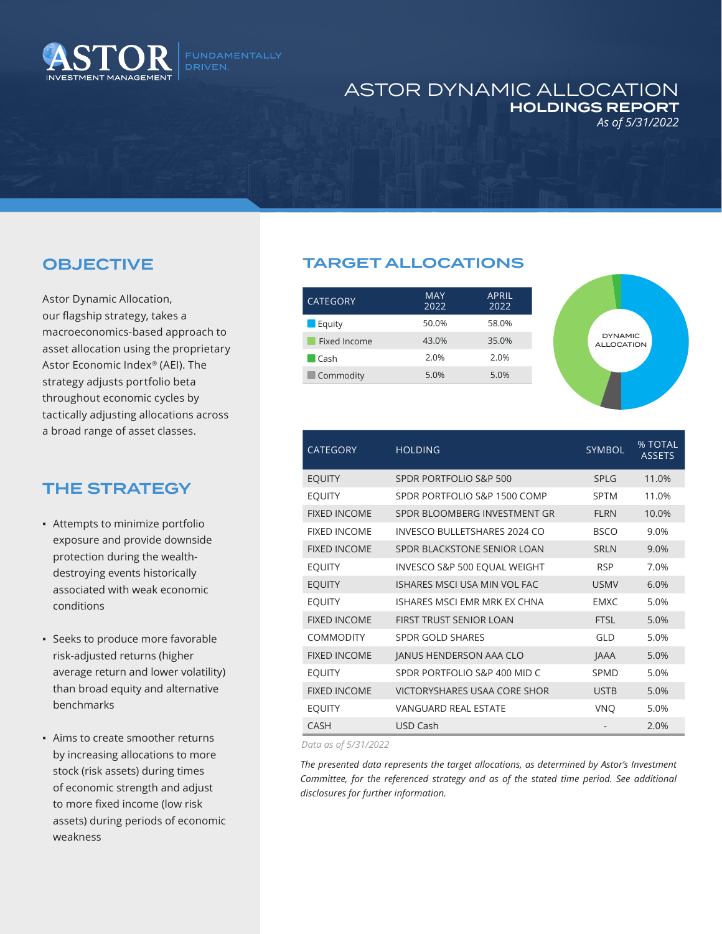

## ASTOR DYNAMIC ALLOCATION HOLDINGS REPORT *As of 5/31/2022*

## OBJECTIVE

Astor Dynamic Allocation, our flagship strategy, takes a macroeconomics-based approach to asset allocation using the proprietary Astor Economic Index® (AEI). The strategy adjusts portfolio beta throughout economic cycles by tactically adjusting allocations across a broad range of asset classes.

## THE STRATEGY

- **Attempts to minimize portfolio** exposure and provide downside protection during the wealthdestroying events historically associated with weak economic conditions
- Seeks to produce more favorable risk-adjusted returns (higher average return and lower volatility) than broad equity and alternative benchmarks
- Aims to create smoother returns by increasing allocations to more stock (risk assets) during times of economic strength and adjust to more fixed income (low risk assets) during periods of economic weakness

## TARGET ALLOCATIONS

| <b>MAY</b><br>2022 | <b>APRIL</b><br>2022 |
|--------------------|----------------------|
| 50.0%              | 58.0%                |
| 43.0%              | 35.0%                |
| 2.0%               | 2.0%                 |
| 5.0%               | 5.0%                 |
|                    |                      |



| <b>CATEGORY</b>     | <b>HOLDING</b>                 | <b>SYMBOL</b> | % TOTAL<br><b>ASSETS</b> |
|---------------------|--------------------------------|---------------|--------------------------|
| <b>EOUITY</b>       | SPDR PORTFOLIO S&P 500         | <b>SPLG</b>   | 11.0%                    |
| <b>EQUITY</b>       | SPDR PORTFOLIO S&P 1500 COMP   | <b>SPTM</b>   | 11.0%                    |
| <b>FIXED INCOME</b> | SPDR BLOOMBERG INVESTMENT GR   | <b>FLRN</b>   | 10.0%                    |
| <b>FIXED INCOME</b> | INVESCO BULLETSHARES 2024 CO   | <b>BSCO</b>   | 9.0%                     |
| <b>FIXED INCOME</b> | SPDR BLACKSTONE SENIOR LOAN    | <b>SRLN</b>   | 9.0%                     |
| <b>EOUITY</b>       | INVESCO S&P 500 EQUAL WEIGHT   | <b>RSP</b>    | 7.0%                     |
| <b>EOUITY</b>       | ISHARES MSCLUSA MIN VOL FAC    | <b>USMV</b>   | 6.0%                     |
| <b>EQUITY</b>       | ISHARES MSCLEMR MRK EX CHNA    | <b>FMXC</b>   | 5.0%                     |
| <b>FIXED INCOME</b> | <b>FIRST TRUST SENIOR LOAN</b> | <b>FTSI</b>   | 5.0%                     |
| <b>COMMODITY</b>    | <b>SPDR GOLD SHARES</b>        | GI D          | 5.0%                     |
| <b>FIXED INCOME</b> | JANUS HENDERSON AAA CLO        | <b>JAAA</b>   | 5.0%                     |
| <b>EOUITY</b>       | SPDR PORTFOLIO S&P 400 MID C   | SPMD          | 5.0%                     |
| <b>FIXED INCOME</b> | VICTORYSHARES USAA CORE SHOR   | <b>USTB</b>   | 5.0%                     |
| <b>EQUITY</b>       | <b>VANGUARD REAL ESTATE</b>    | <b>VNO</b>    | 5.0%                     |
| <b>CASH</b>         | USD Cash                       |               | 2.0%                     |

*Data as of 5/31/2022*

*The presented data represents the target allocations, as determined by Astor's Investment Committee, for the referenced strategy and as of the stated time period. See additional disclosures for further information.*